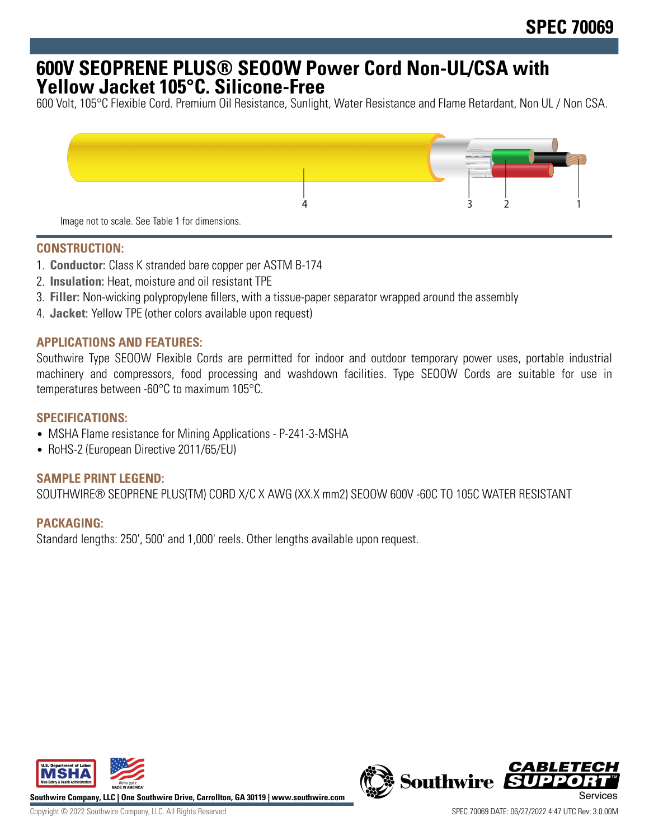# **600V SEOPRENE PLUS® SEOOW Power Cord Non-UL/CSA with Yellow Jacket 105°C. Silicone-Free**

600 Volt, 105°C Flexible Cord. Premium Oil Resistance, Sunlight, Water Resistance and Flame Retardant, Non UL / Non CSA.



### **CONSTRUCTION:**

- 1. **Conductor:** Class K stranded bare copper per ASTM B-174
- 2. **Insulation:** Heat, moisture and oil resistant TPE
- 3. **Filler:** Non-wicking polypropylene fillers, with a tissue-paper separator wrapped around the assembly
- 4. **Jacket:** Yellow TPE (other colors available upon request)

#### **APPLICATIONS AND FEATURES:**

Southwire Type SEOOW Flexible Cords are permitted for indoor and outdoor temporary power uses, portable industrial machinery and compressors, food processing and washdown facilities. Type SEOOW Cords are suitable for use in temperatures between -60°C to maximum 105°C.

#### **SPECIFICATIONS:**

- MSHA Flame resistance for Mining Applications P-241-3-MSHA
- RoHS-2 (European Directive 2011/65/EU)

## **SAMPLE PRINT LEGEND:**

SOUTHWIRE® SEOPRENE PLUS(TM) CORD X/C X AWG (XX.X mm2) SEOOW 600V -60C TO 105C WATER RESISTANT

#### **PACKAGING:**

Standard lengths: 250', 500' and 1,000' reels. Other lengths available upon request.